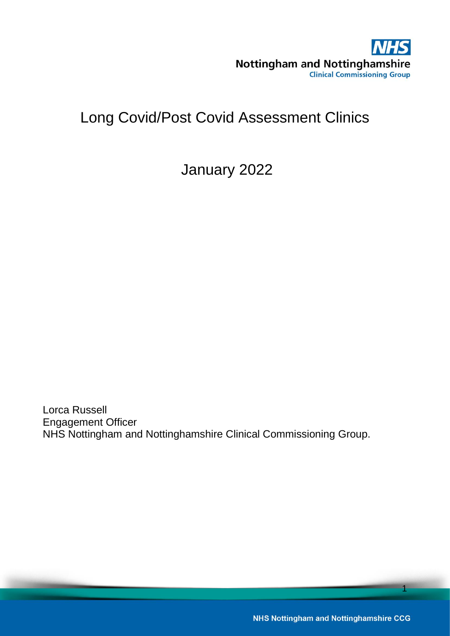

# Long Covid/Post Covid Assessment Clinics

January 2022

Lorca Russell Engagement Officer NHS Nottingham and Nottinghamshire Clinical Commissioning Group.

**NHS Nottingham and Nottinghamshire CCG**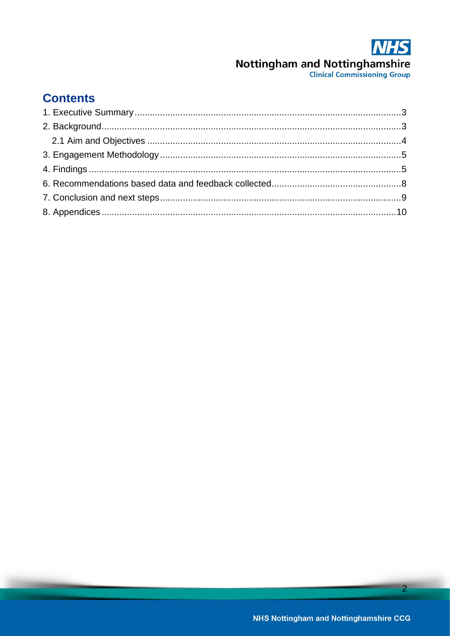# **Contents**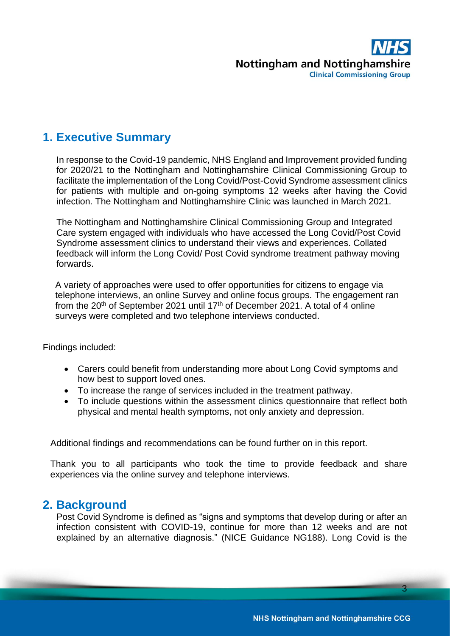

## <span id="page-2-0"></span>**1. Executive Summary**

In response to the Covid-19 pandemic, NHS England and Improvement provided funding for 2020/21 to the Nottingham and Nottinghamshire Clinical Commissioning Group to facilitate the implementation of the Long Covid/Post-Covid Syndrome assessment clinics for patients with multiple and on-going symptoms 12 weeks after having the Covid infection. The Nottingham and Nottinghamshire Clinic was launched in March 2021.

The Nottingham and Nottinghamshire Clinical Commissioning Group and Integrated Care system engaged with individuals who have accessed the Long Covid/Post Covid Syndrome assessment clinics to understand their views and experiences. Collated feedback will inform the Long Covid/ Post Covid syndrome treatment pathway moving forwards.

A variety of approaches were used to offer opportunities for citizens to engage via telephone interviews, an online Survey and online focus groups. The engagement ran from the 20<sup>th</sup> of September 2021 until 17<sup>th</sup> of December 2021. A total of 4 online surveys were completed and two telephone interviews conducted.

Findings included:

- Carers could benefit from understanding more about Long Covid symptoms and how best to support loved ones.
- To increase the range of services included in the treatment pathway.
- To include questions within the assessment clinics questionnaire that reflect both physical and mental health symptoms, not only anxiety and depression.

Additional findings and recommendations can be found further on in this report.

Thank you to all participants who took the time to provide feedback and share experiences via the online survey and telephone interviews.

### <span id="page-2-1"></span>**2. Background**

Post Covid Syndrome is defined as "signs and symptoms that develop during or after an infection consistent with COVID-19, continue for more than 12 weeks and are not explained by an alternative diagnosis." (NICE Guidance NG188). Long Covid is the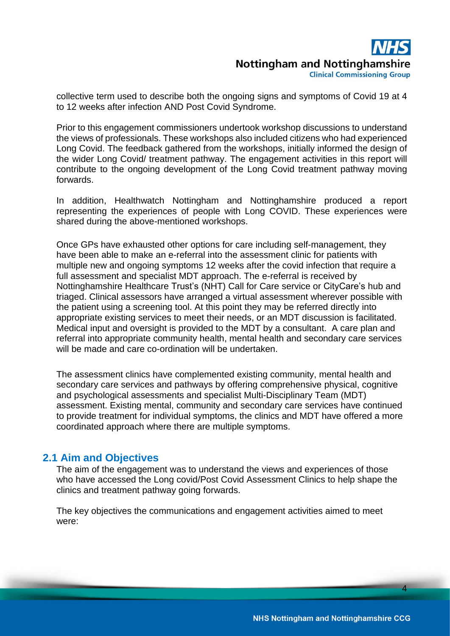**Clinical Commissioning Group** 

collective term used to describe both the ongoing signs and symptoms of Covid 19 at 4 to 12 weeks after infection AND Post Covid Syndrome.

Prior to this engagement commissioners undertook workshop discussions to understand the views of professionals. These workshops also included citizens who had experienced Long Covid. The feedback gathered from the workshops, initially informed the design of the wider Long Covid/ treatment pathway. The engagement activities in this report will contribute to the ongoing development of the Long Covid treatment pathway moving forwards.

In addition, Healthwatch Nottingham and Nottinghamshire produced a report representing the experiences of people with Long COVID. These experiences were shared during the above-mentioned workshops.

Once GPs have exhausted other options for care including self-management, they have been able to make an e-referral into the assessment clinic for patients with multiple new and ongoing symptoms 12 weeks after the covid infection that require a full assessment and specialist MDT approach. The e-referral is received by Nottinghamshire Healthcare Trust's (NHT) Call for Care service or CityCare's hub and triaged. Clinical assessors have arranged a virtual assessment wherever possible with the patient using a screening tool. At this point they may be referred directly into appropriate existing services to meet their needs, or an MDT discussion is facilitated. Medical input and oversight is provided to the MDT by a consultant. A care plan and referral into appropriate community health, mental health and secondary care services will be made and care co-ordination will be undertaken.

The assessment clinics have complemented existing community, mental health and secondary care services and pathways by offering comprehensive physical, cognitive and psychological assessments and specialist Multi-Disciplinary Team (MDT) assessment. Existing mental, community and secondary care services have continued to provide treatment for individual symptoms, the clinics and MDT have offered a more coordinated approach where there are multiple symptoms.

#### <span id="page-3-0"></span>**2.1 Aim and Objectives**

The aim of the engagement was to understand the views and experiences of those who have accessed the Long covid/Post Covid Assessment Clinics to help shape the clinics and treatment pathway going forwards.

The key objectives the communications and engagement activities aimed to meet were: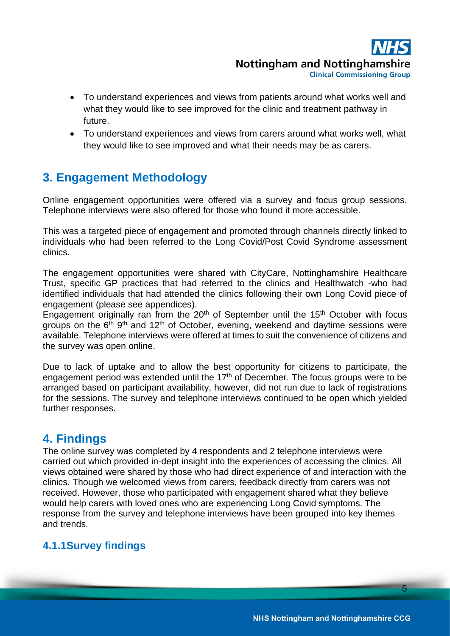**Clinical Commissioning Group** 

- To understand experiences and views from patients around what works well and what they would like to see improved for the clinic and treatment pathway in future.
- To understand experiences and views from carers around what works well, what they would like to see improved and what their needs may be as carers.

# <span id="page-4-0"></span>**3. Engagement Methodology**

Online engagement opportunities were offered via a survey and focus group sessions. Telephone interviews were also offered for those who found it more accessible.

This was a targeted piece of engagement and promoted through channels directly linked to individuals who had been referred to the Long Covid/Post Covid Syndrome assessment clinics.

The engagement opportunities were shared with CityCare, Nottinghamshire Healthcare Trust, specific GP practices that had referred to the clinics and Healthwatch -who had identified individuals that had attended the clinics following their own Long Covid piece of engagement (please see appendices).

Engagement originally ran from the  $20<sup>th</sup>$  of September until the 15<sup>th</sup> October with focus groups on the 6<sup>th gth</sup> and 12<sup>th</sup> of October, evening, weekend and daytime sessions were available. Telephone interviews were offered at times to suit the convenience of citizens and the survey was open online.

Due to lack of uptake and to allow the best opportunity for citizens to participate, the engagement period was extended until the 17<sup>th</sup> of December. The focus groups were to be arranged based on participant availability, however, did not run due to lack of registrations for the sessions. The survey and telephone interviews continued to be open which yielded further responses.

# <span id="page-4-1"></span>**4. Findings**

The online survey was completed by 4 respondents and 2 telephone interviews were carried out which provided in-dept insight into the experiences of accessing the clinics. All views obtained were shared by those who had direct experience of and interaction with the clinics. Though we welcomed views from carers, feedback directly from carers was not received. However, those who participated with engagement shared what they believe would help carers with loved ones who are experiencing Long Covid symptoms. The response from the survey and telephone interviews have been grouped into key themes and trends.

## **4.1.1Survey findings**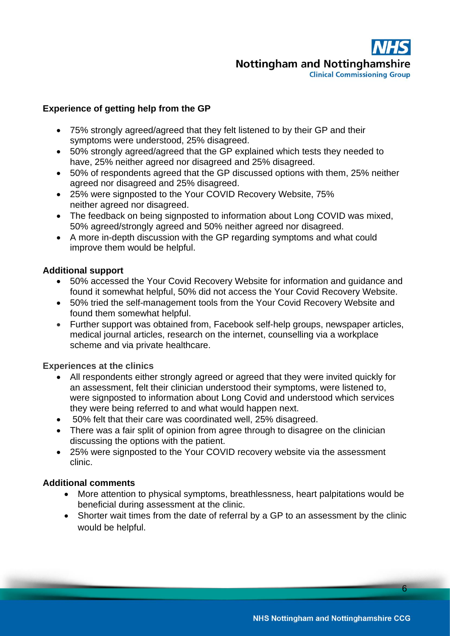**Nottingham and Nottinghamshire Clinical Commissioning Group** 

#### **Experience of getting help from the GP**

- 75% strongly agreed/agreed that they felt listened to by their GP and their symptoms were understood, 25% disagreed.
- 50% strongly agreed/agreed that the GP explained which tests they needed to have, 25% neither agreed nor disagreed and 25% disagreed.
- 50% of respondents agreed that the GP discussed options with them, 25% neither agreed nor disagreed and 25% disagreed.
- 25% were signposted to the Your COVID Recovery Website, 75% neither agreed nor disagreed.
- The feedback on being signposted to information about Long COVID was mixed, 50% agreed/strongly agreed and 50% neither agreed nor disagreed.
- A more in-depth discussion with the GP regarding symptoms and what could improve them would be helpful.

#### **Additional support**

- 50% accessed the Your Covid Recovery Website for information and guidance and found it somewhat helpful, 50% did not access the Your Covid Recovery Website.
- 50% tried the self-management tools from the Your Covid Recovery Website and found them somewhat helpful.
- Further support was obtained from, Facebook self-help groups, newspaper articles, medical journal articles, research on the internet, counselling via a workplace scheme and via private healthcare.

#### **Experiences at the clinics**

- All respondents either strongly agreed or agreed that they were invited quickly for an assessment, felt their clinician understood their symptoms, were listened to, were signposted to information about Long Covid and understood which services they were being referred to and what would happen next.
- 50% felt that their care was coordinated well, 25% disagreed.
- There was a fair split of opinion from agree through to disagree on the clinician discussing the options with the patient.
- 25% were signposted to the Your COVID recovery website via the assessment clinic.

#### **Additional comments**

- More attention to physical symptoms, breathlessness, heart palpitations would be beneficial during assessment at the clinic.
- Shorter wait times from the date of referral by a GP to an assessment by the clinic would be helpful.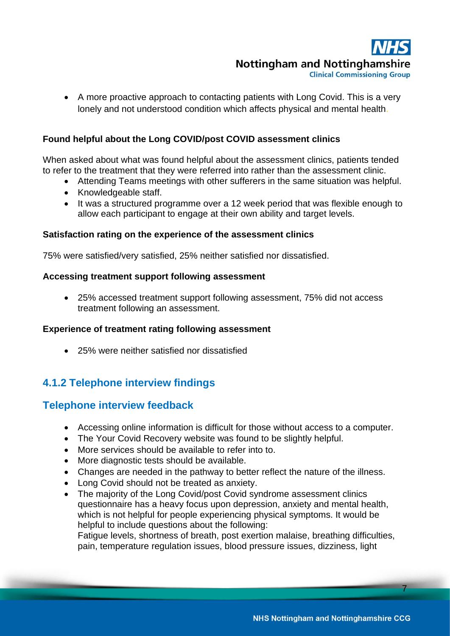**Clinical Commissioning Group** 

• A more proactive approach to contacting patients with Long Covid. This is a very lonely and not understood condition which affects physical and mental health.

#### **Found helpful about the Long COVID/post COVID assessment clinics**

When asked about what was found helpful about the assessment clinics, patients tended to refer to the treatment that they were referred into rather than the assessment clinic.

- Attending Teams meetings with other sufferers in the same situation was helpful.
- Knowledgeable staff.
- It was a structured programme over a 12 week period that was flexible enough to allow each participant to engage at their own ability and target levels.

#### **Satisfaction rating on the experience of the assessment clinics**

75% were satisfied/very satisfied, 25% neither satisfied nor dissatisfied.

#### **Accessing treatment support following assessment**

• 25% accessed treatment support following assessment, 75% did not access treatment following an assessment.

#### **Experience of treatment rating following assessment**

• 25% were neither satisfied nor dissatisfied

## **4.1.2 Telephone interview findings**

#### **Telephone interview feedback**

- Accessing online information is difficult for those without access to a computer.
- The Your Covid Recovery website was found to be slightly helpful.
- More services should be available to refer into to.
- More diagnostic tests should be available.
- Changes are needed in the pathway to better reflect the nature of the illness.
- Long Covid should not be treated as anxiety.
- The majority of the Long Covid/post Covid syndrome assessment clinics questionnaire has a heavy focus upon depression, anxiety and mental health, which is not helpful for people experiencing physical symptoms. It would be helpful to include questions about the following:

Fatigue levels, shortness of breath, post exertion malaise, breathing difficulties, pain, temperature regulation issues, blood pressure issues, dizziness, light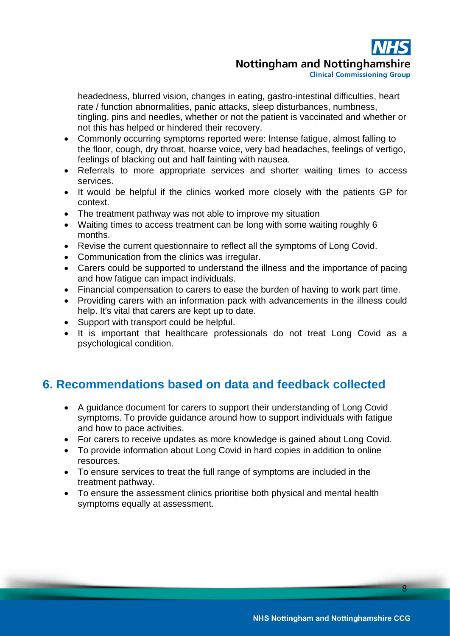**Clinical Commissioning Group** 

headedness, blurred vision, changes in eating, gastro-intestinal difficulties, heart rate / function abnormalities, panic attacks, sleep disturbances, numbness, tingling, pins and needles, whether or not the patient is vaccinated and whether or not this has helped or hindered their recovery.

- Commonly occurring symptoms reported were: Intense fatigue, almost falling to the floor, cough, dry throat, hoarse voice, very bad headaches, feelings of vertigo, feelings of blacking out and half fainting with nausea.
- Referrals to more appropriate services and shorter waiting times to access services.
- It would be helpful if the clinics worked more closely with the patients GP for context.
- The treatment pathway was not able to improve my situation.
- Waiting times to access treatment can be long with some waiting roughly 6 months.
- Revise the current questionnaire to reflect all the symptoms of Long Covid.
- Communication from the clinics was irregular.
- Carers could be supported to understand the illness and the importance of pacing and how fatigue can impact individuals.
- Financial compensation to carers to ease the burden of having to work part time.
- Providing carers with an information pack with advancements in the illness could help. It's vital that carers are kept up to date.
- Support with transport could be helpful.
- It is important that healthcare professionals do not treat Long Covid as a psychological condition.

# <span id="page-7-0"></span>**6. Recommendations based on data and feedback collected**

- A guidance document for carers to support their understanding of Long Covid symptoms. To provide guidance around how to support individuals with fatigue and how to pace activities.
- For carers to receive updates as more knowledge is gained about Long Covid.
- To provide information about Long Covid in hard copies in addition to online resources.
- To ensure services to treat the full range of symptoms are included in the treatment pathway.
- To ensure the assessment clinics prioritise both physical and mental health symptoms equally at assessment.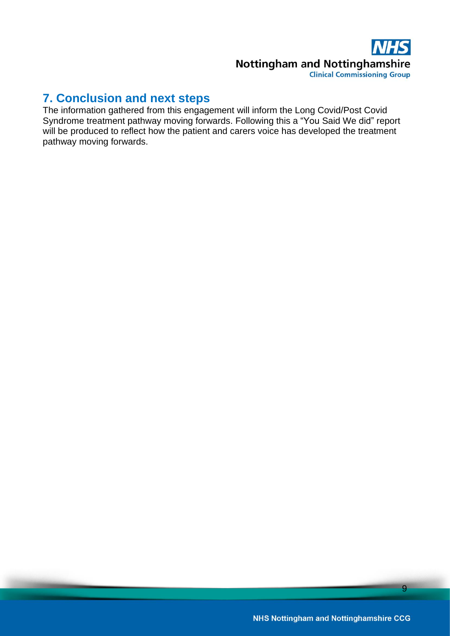**Nottingham and Nottinghamshire Clinical Commissioning Group** 

# <span id="page-8-0"></span>**7. Conclusion and next steps**

The information gathered from this engagement will inform the Long Covid/Post Covid Syndrome treatment pathway moving forwards. Following this a "You Said We did" report will be produced to reflect how the patient and carers voice has developed the treatment pathway moving forwards.